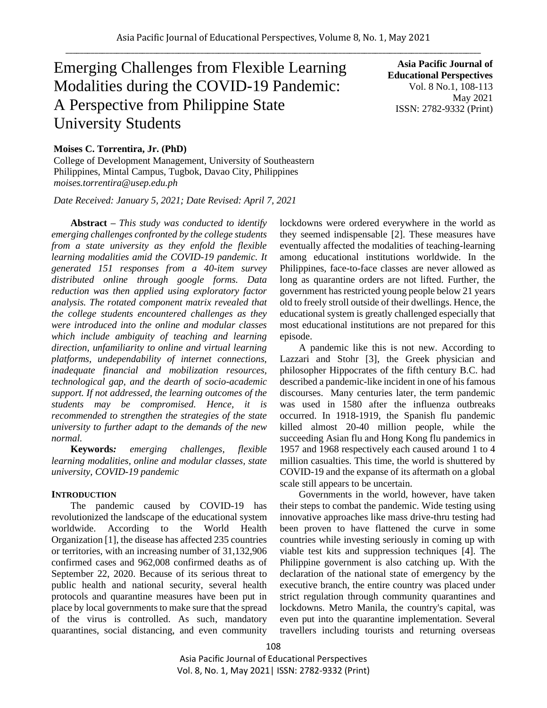# Emerging Challenges from Flexible Learning Modalities during the COVID-19 Pandemic: A Perspective from Philippine State University Students

**Asia Pacific Journal of Educational Perspectives**  Vol. 8 No.1, 108-113 May 2021 ISSN: 2782-9332 (Print)

# **Moises C. Torrentira, Jr. (PhD)**

College of Development Management, University of Southeastern Philippines, Mintal Campus, Tugbok, Davao City, Philippines *moises.torrentira@usep.edu.ph*

*Date Received: January 5, 2021; Date Revised: April 7, 2021*

**Abstract** *– This study was conducted to identify emerging challenges confronted by the college students from a state university as they enfold the flexible learning modalities amid the COVID-19 pandemic. It generated 151 responses from a 40-item survey distributed online through google forms. Data reduction was then applied using exploratory factor analysis. The rotated component matrix revealed that the college students encountered challenges as they were introduced into the online and modular classes which include ambiguity of teaching and learning direction, unfamiliarity to online and virtual learning platforms, undependability of internet connections, inadequate financial and mobilization resources, technological gap, and the dearth of socio-academic support. If not addressed, the learning outcomes of the students may be compromised. Hence, it is recommended to strengthen the strategies of the state university to further adapt to the demands of the new normal.*

**Keywords***: emerging challenges, flexible learning modalities, online and modular classes, state university, COVID-19 pandemic*

### **INTRODUCTION**

The pandemic caused by COVID-19 has revolutionized the landscape of the educational system worldwide. According to the World Health Organization [1], the disease has affected 235 countries or territories, with an increasing number of 31,132,906 confirmed cases and 962,008 confirmed deaths as of September 22, 2020. Because of its serious threat to public health and national security, several health protocols and quarantine measures have been put in place by local governments to make sure that the spread of the virus is controlled. As such, mandatory quarantines, social distancing, and even community lockdowns were ordered everywhere in the world as they seemed indispensable [2]. These measures have eventually affected the modalities of teaching-learning among educational institutions worldwide. In the Philippines, face-to-face classes are never allowed as long as quarantine orders are not lifted. Further, the government has restricted young people below 21 years old to freely stroll outside of their dwellings. Hence, the educational system is greatly challenged especially that most educational institutions are not prepared for this episode.

A pandemic like this is not new. According to Lazzari and Stohr [3], the Greek physician and philosopher Hippocrates of the fifth century B.C. had described a pandemic-like incident in one of his famous discourses. Many centuries later, the term pandemic was used in 1580 after the influenza outbreaks occurred. In 1918-1919, the Spanish flu pandemic killed almost 20-40 million people, while the succeeding Asian flu and Hong Kong flu pandemics in 1957 and 1968 respectively each caused around 1 to 4 million casualties. This time, the world is shuttered by COVID-19 and the expanse of its aftermath on a global scale still appears to be uncertain.

Governments in the world, however, have taken their steps to combat the pandemic. Wide testing using innovative approaches like mass drive-thru testing had been proven to have flattened the curve in some countries while investing seriously in coming up with viable test kits and suppression techniques [4]. The Philippine government is also catching up. With the declaration of the national state of emergency by the executive branch, the entire country was placed under strict regulation through community quarantines and lockdowns. Metro Manila, the country's capital, was even put into the quarantine implementation. Several travellers including tourists and returning overseas

Asia Pacific Journal of Educational Perspectives Vol. 8, No. 1, May 2021| ISSN: 2782-9332 (Print)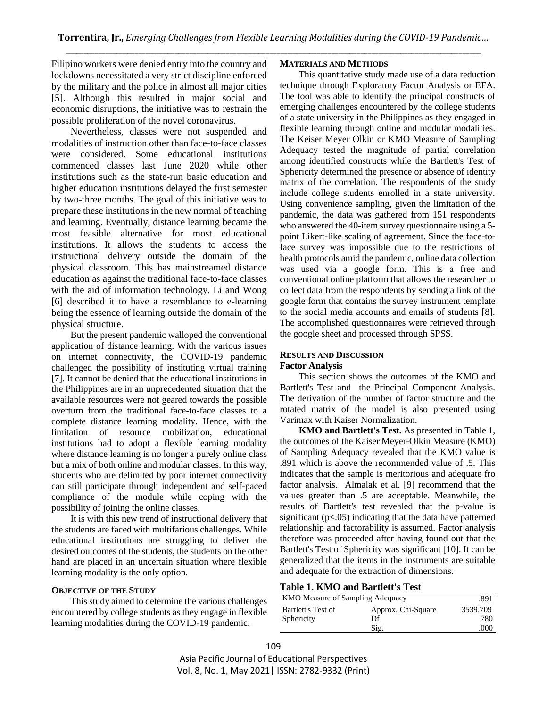Filipino workers were denied entry into the country and lockdowns necessitated a very strict discipline enforced by the military and the police in almost all major cities [5]. Although this resulted in major social and economic disruptions, the initiative was to restrain the possible proliferation of the novel coronavirus.

Nevertheless, classes were not suspended and modalities of instruction other than face-to-face classes were considered. Some educational institutions commenced classes last June 2020 while other institutions such as the state-run basic education and higher education institutions delayed the first semester by two-three months. The goal of this initiative was to prepare these institutions in the new normal of teaching and learning. Eventually, distance learning became the most feasible alternative for most educational institutions. It allows the students to access the instructional delivery outside the domain of the physical classroom. This has mainstreamed distance education as against the traditional face-to-face classes with the aid of information technology. Li and Wong [6] described it to have a resemblance to e-learning being the essence of learning outside the domain of the physical structure.

But the present pandemic walloped the conventional application of distance learning. With the various issues on internet connectivity, the COVID-19 pandemic challenged the possibility of instituting virtual training [7]. It cannot be denied that the educational institutions in the Philippines are in an unprecedented situation that the available resources were not geared towards the possible overturn from the traditional face-to-face classes to a complete distance learning modality. Hence, with the limitation of resource mobilization, educational institutions had to adopt a flexible learning modality where distance learning is no longer a purely online class but a mix of both online and modular classes. In this way, students who are delimited by poor internet connectivity can still participate through independent and self-paced compliance of the module while coping with the possibility of joining the online classes.

It is with this new trend of instructional delivery that the students are faced with multifarious challenges. While educational institutions are struggling to deliver the desired outcomes of the students, the students on the other hand are placed in an uncertain situation where flexible learning modality is the only option.

# **OBJECTIVE OF THE STUDY**

This study aimed to determine the various challenges encountered by college students as they engage in flexible learning modalities during the COVID-19 pandemic.

### **MATERIALS AND METHODS**

This quantitative study made use of a data reduction technique through Exploratory Factor Analysis or EFA. The tool was able to identify the principal constructs of emerging challenges encountered by the college students of a state university in the Philippines as they engaged in flexible learning through online and modular modalities. The Keiser Meyer Olkin or KMO Measure of Sampling Adequacy tested the magnitude of partial correlation among identified constructs while the Bartlett's Test of Sphericity determined the presence or absence of identity matrix of the correlation. The respondents of the study include college students enrolled in a state university. Using convenience sampling, given the limitation of the pandemic, the data was gathered from 151 respondents who answered the 40-item survey questionnaire using a 5 point Likert-like scaling of agreement. Since the face-toface survey was impossible due to the restrictions of health protocols amid the pandemic, online data collection was used via a google form. This is a free and conventional online platform that allows the researcher to collect data from the respondents by sending a link of the google form that contains the survey instrument template to the social media accounts and emails of students [8]. The accomplished questionnaires were retrieved through the google sheet and processed through SPSS.

# **RESULTS AND DISCUSSION**

### **Factor Analysis**

This section shows the outcomes of the KMO and Bartlett's Test and the Principal Component Analysis. The derivation of the number of factor structure and the rotated matrix of the model is also presented using Varimax with Kaiser Normalization.

**KMO and Bartlett's Test.** As presented in Table 1, the outcomes of the Kaiser Meyer-Olkin Measure (KMO) of Sampling Adequacy revealed that the KMO value is .891 which is above the recommended value of .5. This indicates that the sample is meritorious and adequate fro factor analysis. Almalak et al. [9] recommend that the values greater than .5 are acceptable. Meanwhile, the results of Bartlett's test revealed that the p-value is significant  $(p<.05)$  indicating that the data have patterned relationship and factorability is assumed. Factor analysis therefore was proceeded after having found out that the Bartlett's Test of Sphericity was significant [10]. It can be generalized that the items in the instruments are suitable and adequate for the extraction of dimensions.

# **Table 1. KMO and Bartlett's Test**

| KMO Measure of Sampling Adequacy | .891               |          |
|----------------------------------|--------------------|----------|
| Bartlett's Test of               | Approx. Chi-Square | 3539.709 |
| Sphericity                       | Df                 | 780      |
|                                  | Sig.               | .000     |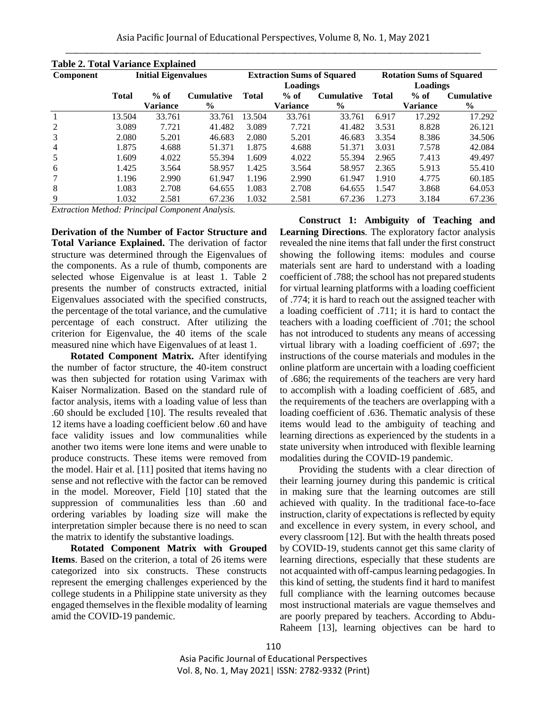| <b>Table 2. Total Variance Explained</b> |                            |                 |                   |                                   |          |                   |                                 |                 |                   |
|------------------------------------------|----------------------------|-----------------|-------------------|-----------------------------------|----------|-------------------|---------------------------------|-----------------|-------------------|
| <b>Component</b>                         | <b>Initial Eigenvalues</b> |                 |                   | <b>Extraction Sums of Squared</b> |          |                   | <b>Rotation Sums of Squared</b> |                 |                   |
|                                          |                            |                 |                   | Loadings                          |          |                   | Loadings                        |                 |                   |
|                                          | <b>Total</b>               | $%$ of          | <b>Cumulative</b> | Total                             | $%$ of   | <b>Cumulative</b> | <b>Total</b>                    | $%$ of          | <b>Cumulative</b> |
|                                          |                            | <b>Variance</b> | $\frac{6}{9}$     |                                   | Variance | $\frac{6}{6}$     |                                 | <b>Variance</b> | $\frac{0}{0}$     |
|                                          | 13.504                     | 33.761          | 33.761            | 13.504                            | 33.761   | 33.761            | 6.917                           | 17.292          | 17.292            |
| 2                                        | 3.089                      | 7.721           | 41.482            | 3.089                             | 7.721    | 41.482            | 3.531                           | 8.828           | 26.121            |
| 3                                        | 2.080                      | 5.201           | 46.683            | 2.080                             | 5.201    | 46.683            | 3.354                           | 8.386           | 34.506            |
| $\overline{4}$                           | 1.875                      | 4.688           | 51.371            | 1.875                             | 4.688    | 51.371            | 3.031                           | 7.578           | 42.084            |
| 5                                        | 1.609                      | 4.022           | 55.394            | 1.609                             | 4.022    | 55.394            | 2.965                           | 7.413           | 49.497            |
| 6                                        | 1.425                      | 3.564           | 58.957            | 1.425                             | 3.564    | 58.957            | 2.365                           | 5.913           | 55.410            |
|                                          | 1.196                      | 2.990           | 61.947            | 1.196                             | 2.990    | 61.947            | 1.910                           | 4.775           | 60.185            |
| 8                                        | 1.083                      | 2.708           | 64.655            | 1.083                             | 2.708    | 64.655            | 1.547                           | 3.868           | 64.053            |
| 9                                        | 1.032                      | 2.581           | 67.236            | 1.032                             | 2.581    | 67.236            | 1.273                           | 3.184           | 67.236            |

| ›le 2.<br>Tatol<br>nce Explained<br>. |  |  |
|---------------------------------------|--|--|

*Extraction Method: Principal Component Analysis.*

**Derivation of the Number of Factor Structure and Total Variance Explained.** The derivation of factor structure was determined through the Eigenvalues of the components. As a rule of thumb, components are selected whose Eigenvalue is at least 1. Table 2 presents the number of constructs extracted, initial Eigenvalues associated with the specified constructs, the percentage of the total variance, and the cumulative percentage of each construct. After utilizing the criterion for Eigenvalue, the 40 items of the scale measured nine which have Eigenvalues of at least 1.

**Rotated Component Matrix.** After identifying the number of factor structure, the 40-item construct was then subjected for rotation using Varimax with Kaiser Normalization. Based on the standard rule of factor analysis, items with a loading value of less than .60 should be excluded [10]. The results revealed that 12 items have a loading coefficient below .60 and have face validity issues and low communalities while another two items were lone items and were unable to produce constructs. These items were removed from the model. Hair et al. [11] posited that items having no sense and not reflective with the factor can be removed in the model. Moreover, Field [10] stated that the suppression of communalities less than .60 and ordering variables by loading size will make the interpretation simpler because there is no need to scan the matrix to identify the substantive loadings.

**Rotated Component Matrix with Grouped Items**. Based on the criterion, a total of 26 items were categorized into six constructs. These constructs represent the emerging challenges experienced by the college students in a Philippine state university as they engaged themselves in the flexible modality of learning amid the COVID-19 pandemic.

**Construct 1: Ambiguity of Teaching and Learning Directions**. The exploratory factor analysis revealed the nine items that fall under the first construct showing the following items: modules and course materials sent are hard to understand with a loading coefficient of .788; the school has not prepared students for virtual learning platforms with a loading coefficient of .774; it is hard to reach out the assigned teacher with a loading coefficient of .711; it is hard to contact the teachers with a loading coefficient of .701; the school has not introduced to students any means of accessing virtual library with a loading coefficient of .697; the instructions of the course materials and modules in the online platform are uncertain with a loading coefficient of .686; the requirements of the teachers are very hard to accomplish with a loading coefficient of .685, and the requirements of the teachers are overlapping with a loading coefficient of .636. Thematic analysis of these items would lead to the ambiguity of teaching and learning directions as experienced by the students in a state university when introduced with flexible learning modalities during the COVID-19 pandemic.

Providing the students with a clear direction of their learning journey during this pandemic is critical in making sure that the learning outcomes are still achieved with quality. In the traditional face-to-face instruction, clarity of expectations is reflected by equity and excellence in every system, in every school, and every classroom [12]. But with the health threats posed by COVID-19, students cannot get this same clarity of learning directions, especially that these students are not acquainted with off-campus learning pedagogies. In this kind of setting, the students find it hard to manifest full compliance with the learning outcomes because most instructional materials are vague themselves and are poorly prepared by teachers. According to Abdu-Raheem [13], learning objectives can be hard to

Asia Pacific Journal of Educational Perspectives Vol. 8, No. 1, May 2021| ISSN: 2782-9332 (Print)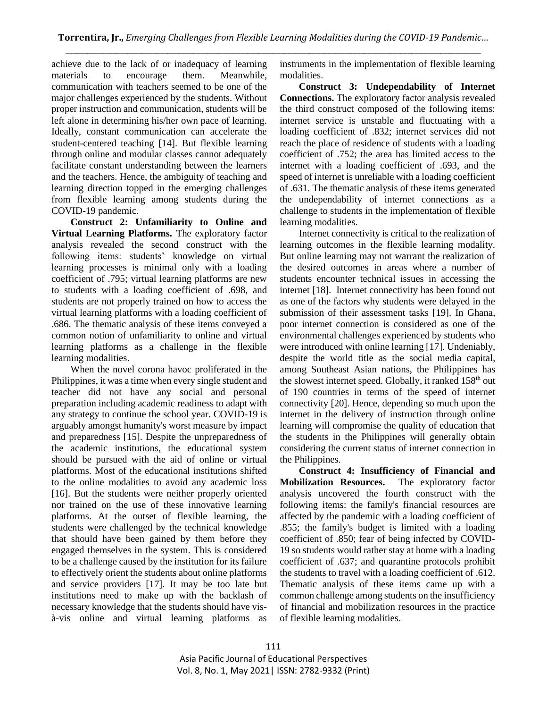achieve due to the lack of or inadequacy of learning materials to encourage them. Meanwhile, communication with teachers seemed to be one of the major challenges experienced by the students. Without proper instruction and communication, students will be left alone in determining his/her own pace of learning. Ideally, constant communication can accelerate the student-centered teaching [14]. But flexible learning through online and modular classes cannot adequately facilitate constant understanding between the learners and the teachers. Hence, the ambiguity of teaching and learning direction topped in the emerging challenges from flexible learning among students during the COVID-19 pandemic.

**Construct 2: Unfamiliarity to Online and Virtual Learning Platforms.** The exploratory factor analysis revealed the second construct with the following items: students' knowledge on virtual learning processes is minimal only with a loading coefficient of .795; virtual learning platforms are new to students with a loading coefficient of .698, and students are not properly trained on how to access the virtual learning platforms with a loading coefficient of .686. The thematic analysis of these items conveyed a common notion of unfamiliarity to online and virtual learning platforms as a challenge in the flexible learning modalities.

When the novel corona havoc proliferated in the Philippines, it was a time when every single student and teacher did not have any social and personal preparation including academic readiness to adapt with any strategy to continue the school year. COVID-19 is arguably amongst humanity's worst measure by impact and preparedness [15]. Despite the unpreparedness of the academic institutions, the educational system should be pursued with the aid of online or virtual platforms. Most of the educational institutions shifted to the online modalities to avoid any academic loss [16]. But the students were neither properly oriented nor trained on the use of these innovative learning platforms. At the outset of flexible learning, the students were challenged by the technical knowledge that should have been gained by them before they engaged themselves in the system. This is considered to be a challenge caused by the institution for its failure to effectively orient the students about online platforms and service providers [17]. It may be too late but institutions need to make up with the backlash of necessary knowledge that the students should have visà-vis online and virtual learning platforms as

instruments in the implementation of flexible learning modalities.

**Construct 3: Undependability of Internet Connections.** The exploratory factor analysis revealed the third construct composed of the following items: internet service is unstable and fluctuating with a loading coefficient of .832; internet services did not reach the place of residence of students with a loading coefficient of .752; the area has limited access to the internet with a loading coefficient of .693, and the speed of internet is unreliable with a loading coefficient of .631. The thematic analysis of these items generated the undependability of internet connections as a challenge to students in the implementation of flexible learning modalities.

Internet connectivity is critical to the realization of learning outcomes in the flexible learning modality. But online learning may not warrant the realization of the desired outcomes in areas where a number of students encounter technical issues in accessing the internet [18]. Internet connectivity has been found out as one of the factors why students were delayed in the submission of their assessment tasks [19]. In Ghana, poor internet connection is considered as one of the environmental challenges experienced by students who were introduced with online learning [17]. Undeniably, despite the world title as the social media capital, among Southeast Asian nations, the Philippines has the slowest internet speed. Globally, it ranked  $158<sup>th</sup>$  out of 190 countries in terms of the speed of internet connectivity [20]. Hence, depending so much upon the internet in the delivery of instruction through online learning will compromise the quality of education that the students in the Philippines will generally obtain considering the current status of internet connection in the Philippines.

**Construct 4: Insufficiency of Financial and Mobilization Resources.** The exploratory factor analysis uncovered the fourth construct with the following items: the family's financial resources are affected by the pandemic with a loading coefficient of .855; the family's budget is limited with a loading coefficient of .850; fear of being infected by COVID-19 so students would rather stay at home with a loading coefficient of .637; and quarantine protocols prohibit the students to travel with a loading coefficient of .612. Thematic analysis of these items came up with a common challenge among students on the insufficiency of financial and mobilization resources in the practice of flexible learning modalities.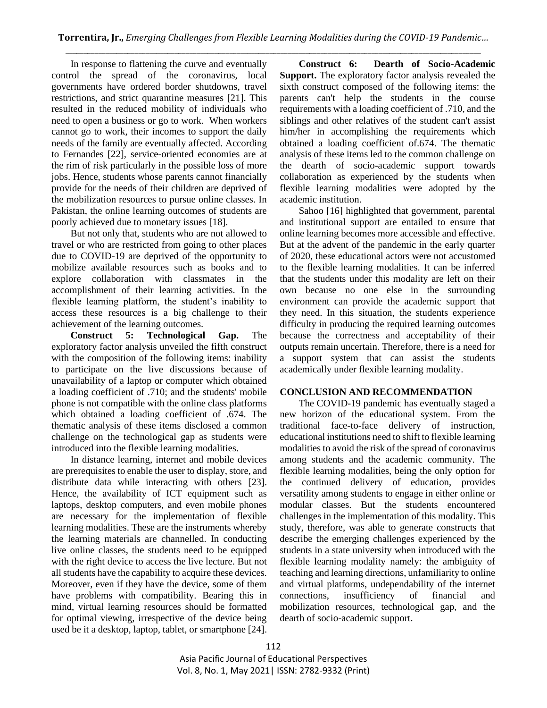In response to flattening the curve and eventually control the spread of the coronavirus, local governments have ordered border shutdowns, travel restrictions, and strict quarantine measures [21]. This resulted in the reduced mobility of individuals who need to open a business or go to work. When workers cannot go to work, their incomes to support the daily needs of the family are eventually affected. According to Fernandes [22], service-oriented economies are at the rim of risk particularly in the possible loss of more jobs. Hence, students whose parents cannot financially provide for the needs of their children are deprived of the mobilization resources to pursue online classes. In Pakistan, the online learning outcomes of students are poorly achieved due to monetary issues [18].

But not only that, students who are not allowed to travel or who are restricted from going to other places due to COVID-19 are deprived of the opportunity to mobilize available resources such as books and to explore collaboration with classmates in the accomplishment of their learning activities. In the flexible learning platform, the student's inability to access these resources is a big challenge to their achievement of the learning outcomes.

**Construct 5: Technological Gap.** The exploratory factor analysis unveiled the fifth construct with the composition of the following items: inability to participate on the live discussions because of unavailability of a laptop or computer which obtained a loading coefficient of .710; and the students' mobile phone is not compatible with the online class platforms which obtained a loading coefficient of .674. The thematic analysis of these items disclosed a common challenge on the technological gap as students were introduced into the flexible learning modalities.

In distance learning, internet and mobile devices are prerequisites to enable the user to display, store, and distribute data while interacting with others [23]. Hence, the availability of ICT equipment such as laptops, desktop computers, and even mobile phones are necessary for the implementation of flexible learning modalities. These are the instruments whereby the learning materials are channelled. In conducting live online classes, the students need to be equipped with the right device to access the live lecture. But not all students have the capability to acquire these devices. Moreover, even if they have the device, some of them have problems with compatibility. Bearing this in mind, virtual learning resources should be formatted for optimal viewing, irrespective of the device being used be it a desktop, laptop, tablet, or smartphone [24].

**Construct 6: Dearth of Socio-Academic Support.** The exploratory factor analysis revealed the sixth construct composed of the following items: the parents can't help the students in the course requirements with a loading coefficient of .710, and the siblings and other relatives of the student can't assist him/her in accomplishing the requirements which obtained a loading coefficient of.674. The thematic analysis of these items led to the common challenge on the dearth of socio-academic support towards collaboration as experienced by the students when flexible learning modalities were adopted by the academic institution.

Sahoo [16] highlighted that government, parental and institutional support are entailed to ensure that online learning becomes more accessible and effective. But at the advent of the pandemic in the early quarter of 2020, these educational actors were not accustomed to the flexible learning modalities. It can be inferred that the students under this modality are left on their own because no one else in the surrounding environment can provide the academic support that they need. In this situation, the students experience difficulty in producing the required learning outcomes because the correctness and acceptability of their outputs remain uncertain. Therefore, there is a need for a support system that can assist the students academically under flexible learning modality.

# **CONCLUSION AND RECOMMENDATION**

The COVID-19 pandemic has eventually staged a new horizon of the educational system. From the traditional face-to-face delivery of instruction, educational institutions need to shift to flexible learning modalities to avoid the risk of the spread of coronavirus among students and the academic community. The flexible learning modalities, being the only option for the continued delivery of education, provides versatility among students to engage in either online or modular classes. But the students encountered challenges in the implementation of this modality. This study, therefore, was able to generate constructs that describe the emerging challenges experienced by the students in a state university when introduced with the flexible learning modality namely: the ambiguity of teaching and learning directions, unfamiliarity to online and virtual platforms, undependability of the internet connections, insufficiency of financial and mobilization resources, technological gap, and the dearth of socio-academic support.